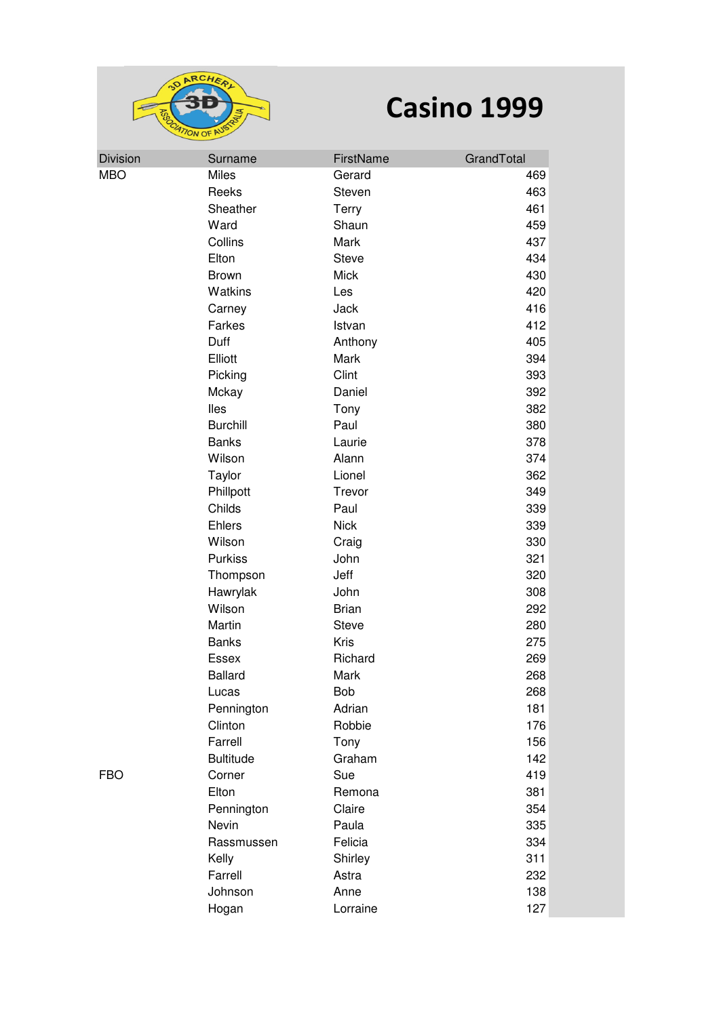

| <b>Division</b> | Surname          | FirstName    | GrandTotal |
|-----------------|------------------|--------------|------------|
| <b>MBO</b>      | <b>Miles</b>     | Gerard       | 469        |
|                 | Reeks            | Steven       | 463        |
|                 | Sheather         | <b>Terry</b> | 461        |
|                 | Ward             | Shaun        | 459        |
|                 | Collins          | Mark         | 437        |
|                 | Elton            | Steve        | 434        |
|                 | <b>Brown</b>     | <b>Mick</b>  | 430        |
|                 | Watkins          | Les          | 420        |
|                 | Carney           | Jack         | 416        |
|                 | Farkes           | Istvan       | 412        |
|                 | Duff             | Anthony      | 405        |
|                 | Elliott          | Mark         | 394        |
|                 | Picking          | Clint        | 393        |
|                 | Mckay            | Daniel       | 392        |
|                 | lles             | Tony         | 382        |
|                 | <b>Burchill</b>  | Paul         | 380        |
|                 | <b>Banks</b>     | Laurie       | 378        |
|                 | Wilson           | Alann        | 374        |
|                 | Taylor           | Lionel       | 362        |
|                 | Phillpott        | Trevor       | 349        |
|                 | Childs           | Paul         | 339        |
|                 | Ehlers           | <b>Nick</b>  | 339        |
|                 | Wilson           | Craig        | 330        |
|                 | Purkiss          | John         | 321        |
|                 | Thompson         | Jeff         | 320        |
|                 | Hawrylak         | John         | 308        |
|                 | Wilson           | <b>Brian</b> | 292        |
|                 | Martin           | <b>Steve</b> | 280        |
|                 | <b>Banks</b>     | Kris         | 275        |
|                 | Essex            | Richard      | 269        |
|                 | <b>Ballard</b>   | Mark         | 268        |
|                 | Lucas            | <b>Bob</b>   | 268        |
|                 | Pennington       | Adrian       | 181        |
|                 | Clinton          | Robbie       | 176        |
|                 | Farrell          | Tony         | 156        |
|                 | <b>Bultitude</b> | Graham       | 142        |
| FBO             | Corner           | Sue          | 419        |
|                 | Elton            | Remona       | 381        |
|                 | Pennington       | Claire       | 354        |
|                 | Nevin            | Paula        | 335        |
|                 | Rassmussen       | Felicia      | 334        |
|                 | Kelly            | Shirley      | 311        |
|                 | Farrell          | Astra        | 232        |
|                 | Johnson          | Anne         | 138        |
|                 | Hogan            | Lorraine     | 127        |
|                 |                  |              |            |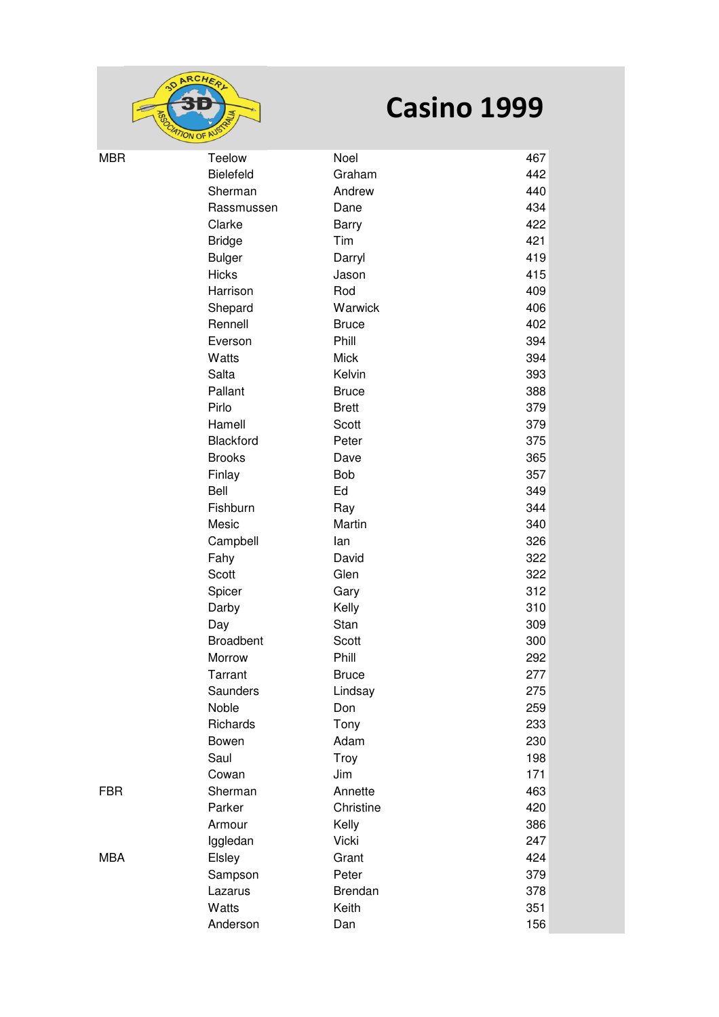

| <b>MBR</b> | Teelow           | Noel           | 467 |
|------------|------------------|----------------|-----|
|            | Bielefeld        | Graham         | 442 |
|            | Sherman          | Andrew         | 440 |
|            | Rassmussen       | Dane           | 434 |
|            | Clarke           | <b>Barry</b>   | 422 |
|            | <b>Bridge</b>    | Tim            | 421 |
|            | <b>Bulger</b>    | Darryl         | 419 |
|            | <b>Hicks</b>     | Jason          | 415 |
|            | Harrison         | Rod            | 409 |
|            | Shepard          | Warwick        | 406 |
|            | Rennell          | <b>Bruce</b>   | 402 |
|            | Everson          | Phill          | 394 |
|            | Watts            | <b>Mick</b>    | 394 |
|            | Salta            | Kelvin         | 393 |
|            | Pallant          | <b>Bruce</b>   | 388 |
|            | Pirlo            | <b>Brett</b>   | 379 |
|            | Hamell           | Scott          | 379 |
|            | Blackford        | Peter          | 375 |
|            | <b>Brooks</b>    | Dave           | 365 |
|            | Finlay           | <b>Bob</b>     | 357 |
|            | Bell             | Ed             | 349 |
|            | Fishburn         | Ray            | 344 |
|            | Mesic            | Martin         | 340 |
|            | Campbell         | lan            | 326 |
|            | Fahy             | David          | 322 |
|            | Scott            | Glen           | 322 |
|            | Spicer           | Gary           | 312 |
|            | Darby            | Kelly          | 310 |
|            | Day              | Stan           | 309 |
|            | <b>Broadbent</b> | Scott          | 300 |
|            | Morrow           | Phill          | 292 |
|            | Tarrant          | <b>Bruce</b>   | 277 |
|            | Saunders         | Lindsay        | 275 |
|            | Noble            | Don            | 259 |
|            | Richards         | Tony           | 233 |
|            | Bowen            | Adam           | 230 |
|            | Saul             | Troy           | 198 |
|            | Cowan            | Jim            | 171 |
| <b>FBR</b> | Sherman          | Annette        | 463 |
|            | Parker           | Christine      | 420 |
|            | Armour           | Kelly          | 386 |
|            | Iggledan         | Vicki          | 247 |
| <b>MBA</b> | Elsley           | Grant          | 424 |
|            | Sampson          | Peter          | 379 |
|            | Lazarus          | <b>Brendan</b> | 378 |
|            | Watts            | Keith          | 351 |
|            | Anderson         | Dan            | 156 |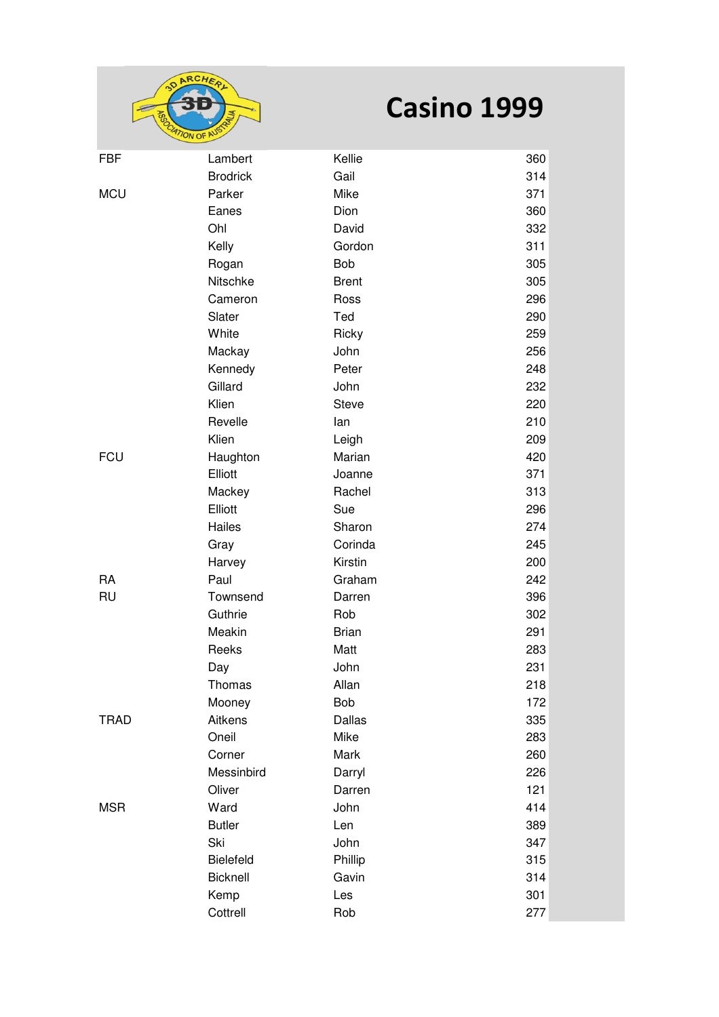

| <b>FBF</b>  | Lambert         | Kellie       | 360 |
|-------------|-----------------|--------------|-----|
|             | <b>Brodrick</b> | Gail         | 314 |
| <b>MCU</b>  | Parker          | Mike         | 371 |
|             | Eanes           | Dion         | 360 |
|             | Ohl             | David        | 332 |
|             | Kelly           | Gordon       | 311 |
|             | Rogan           | Bob          | 305 |
|             | Nitschke        | <b>Brent</b> | 305 |
|             | Cameron         | Ross         | 296 |
|             | Slater          | Ted          | 290 |
|             | White           | Ricky        | 259 |
|             | Mackay          | John         | 256 |
|             | Kennedy         | Peter        | 248 |
|             | Gillard         | John         | 232 |
|             | Klien           | Steve        | 220 |
|             | Revelle         | lan          | 210 |
|             | Klien           | Leigh        | 209 |
| <b>FCU</b>  | Haughton        | Marian       | 420 |
|             | Elliott         | Joanne       | 371 |
|             | Mackey          | Rachel       | 313 |
|             | Elliott         | Sue          | 296 |
|             | Hailes          | Sharon       | 274 |
|             | Gray            | Corinda      | 245 |
|             | Harvey          | Kirstin      | 200 |
| <b>RA</b>   | Paul            | Graham       | 242 |
| <b>RU</b>   | Townsend        | Darren       | 396 |
|             | Guthrie         | Rob          | 302 |
|             | Meakin          | <b>Brian</b> | 291 |
|             | Reeks           | Matt         | 283 |
|             | Day             | John         | 231 |
|             | Thomas          | Allan        | 218 |
|             | Mooney          | <b>Bob</b>   | 172 |
| <b>TRAD</b> | Aitkens         | Dallas       | 335 |
|             | Oneil           | Mike         | 283 |
|             | Corner          | Mark         | 260 |
|             | Messinbird      | Darryl       | 226 |
|             | Oliver          | Darren       | 121 |
| <b>MSR</b>  | Ward            | John         | 414 |
|             | <b>Butler</b>   | Len          | 389 |
|             | Ski             | John         | 347 |
|             | Bielefeld       | Phillip      | 315 |
|             | Bicknell        | Gavin        | 314 |
|             | Kemp            | Les          | 301 |
|             | Cottrell        | Rob          | 277 |